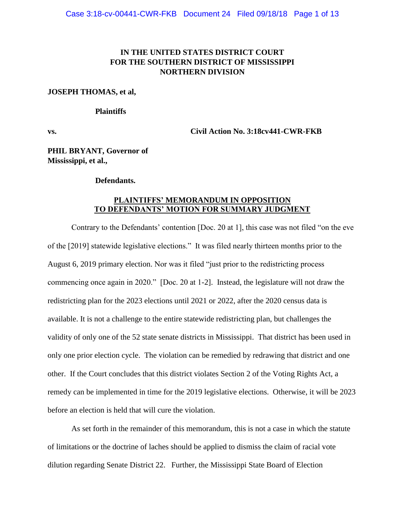# **IN THE UNITED STATES DISTRICT COURT FOR THE SOUTHERN DISTRICT OF MISSISSIPPI NORTHERN DIVISION**

## **JOSEPH THOMAS, et al,**

## **Plaintiffs**

**vs. Civil Action No. 3:18cv441-CWR-FKB**

**PHIL BRYANT, Governor of Mississippi, et al.,**

## **Defendants.**

## **PLAINTIFFS' MEMORANDUM IN OPPOSITION TO DEFENDANTS' MOTION FOR SUMMARY JUDGMENT**

Contrary to the Defendants' contention [Doc. 20 at 1], this case was not filed "on the eve of the [2019] statewide legislative elections." It was filed nearly thirteen months prior to the August 6, 2019 primary election. Nor was it filed "just prior to the redistricting process commencing once again in 2020." [Doc. 20 at 1-2]. Instead, the legislature will not draw the redistricting plan for the 2023 elections until 2021 or 2022, after the 2020 census data is available. It is not a challenge to the entire statewide redistricting plan, but challenges the validity of only one of the 52 state senate districts in Mississippi. That district has been used in only one prior election cycle. The violation can be remedied by redrawing that district and one other. If the Court concludes that this district violates Section 2 of the Voting Rights Act, a remedy can be implemented in time for the 2019 legislative elections. Otherwise, it will be 2023 before an election is held that will cure the violation.

As set forth in the remainder of this memorandum, this is not a case in which the statute of limitations or the doctrine of laches should be applied to dismiss the claim of racial vote dilution regarding Senate District 22. Further, the Mississippi State Board of Election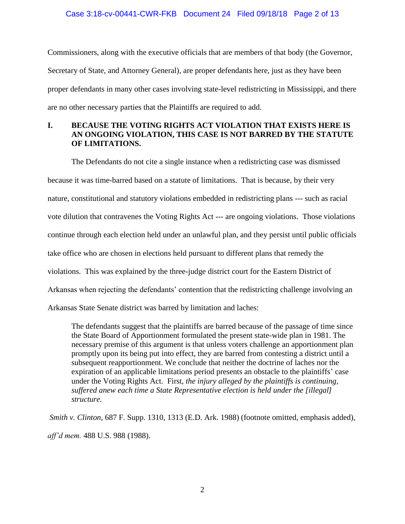## Case 3:18-cv-00441-CWR-FKB Document 24 Filed 09/18/18 Page 2 of 13

Commissioners, along with the executive officials that are members of that body (the Governor, Secretary of State, and Attorney General), are proper defendants here, just as they have been proper defendants in many other cases involving state-level redistricting in Mississippi, and there are no other necessary parties that the Plaintiffs are required to add.

# **I. BECAUSE THE VOTING RIGHTS ACT VIOLATION THAT EXISTS HERE IS AN ONGOING VIOLATION, THIS CASE IS NOT BARRED BY THE STATUTE OF LIMITATIONS.**

The Defendants do not cite a single instance when a redistricting case was dismissed because it was time-barred based on a statute of limitations. That is because, by their very nature, constitutional and statutory violations embedded in redistricting plans --- such as racial vote dilution that contravenes the Voting Rights Act --- are ongoing violations. Those violations continue through each election held under an unlawful plan, and they persist until public officials take office who are chosen in elections held pursuant to different plans that remedy the violations. This was explained by the three-judge district court for the Eastern District of Arkansas when rejecting the defendants' contention that the redistricting challenge involving an Arkansas State Senate district was barred by limitation and laches:

The defendants suggest that the plaintiffs are barred because of the passage of time since the State Board of Apportionment formulated the present state-wide plan in 1981. The necessary premise of this argument is that unless voters challenge an apportionment plan promptly upon its being put into effect, they are barred from contesting a district until a subsequent reapportionment. We conclude that neither the doctrine of laches nor the expiration of an applicable limitations period presents an obstacle to the plaintiffs' case under the Voting Rights Act. First, *the injury alleged by the plaintiffs is continuing, suffered anew each time a State Representative election is held under the [illegal] structure.*

*Smith v. Clinton,* 687 F. Supp. 1310, 1313 (E.D. Ark. 1988) (footnote omitted, emphasis added), *aff'd mem.* 488 U.S. 988 (1988).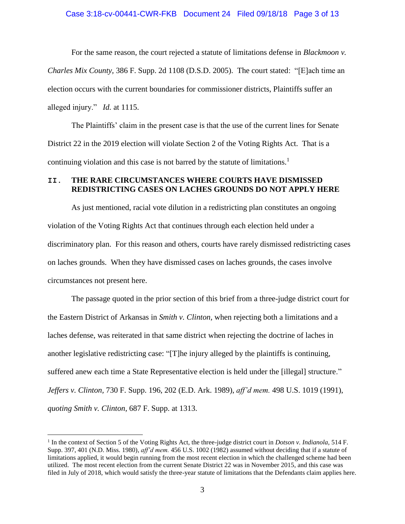### Case 3:18-cv-00441-CWR-FKB Document 24 Filed 09/18/18 Page 3 of 13

For the same reason, the court rejected a statute of limitations defense in *Blackmoon v. Charles Mix County,* 386 F. Supp. 2d 1108 (D.S.D. 2005). The court stated: "[E]ach time an election occurs with the current boundaries for commissioner districts, Plaintiffs suffer an alleged injury." *Id.* at 1115.

The Plaintiffs' claim in the present case is that the use of the current lines for Senate District 22 in the 2019 election will violate Section 2 of the Voting Rights Act. That is a continuing violation and this case is not barred by the statute of limitations.<sup>1</sup>

## **II. THE RARE CIRCUMSTANCES WHERE COURTS HAVE DISMISSED REDISTRICTING CASES ON LACHES GROUNDS DO NOT APPLY HERE**

As just mentioned, racial vote dilution in a redistricting plan constitutes an ongoing violation of the Voting Rights Act that continues through each election held under a discriminatory plan. For this reason and others, courts have rarely dismissed redistricting cases on laches grounds. When they have dismissed cases on laches grounds, the cases involve circumstances not present here.

The passage quoted in the prior section of this brief from a three-judge district court for the Eastern District of Arkansas in *Smith v. Clinton,* when rejecting both a limitations and a laches defense, was reiterated in that same district when rejecting the doctrine of laches in another legislative redistricting case: "[T]he injury alleged by the plaintiffs is continuing, suffered anew each time a State Representative election is held under the [illegal] structure." *Jeffers v. Clinton,* 730 F. Supp. 196, 202 (E.D. Ark. 1989), *aff'd mem.* 498 U.S. 1019 (1991), *quoting Smith v. Clinton,* 687 F. Supp. at 1313.

 $\overline{a}$ 

<sup>&</sup>lt;sup>1</sup> In the context of Section 5 of the Voting Rights Act, the three-judge district court in *Dotson v. Indianola*, 514 F. Supp. 397, 401 (N.D. Miss. 1980), *aff'd mem.* 456 U.S. 1002 (1982) assumed without deciding that if a statute of limitations applied, it would begin running from the most recent election in which the challenged scheme had been utilized. The most recent election from the current Senate District 22 was in November 2015, and this case was filed in July of 2018, which would satisfy the three-year statute of limitations that the Defendants claim applies here.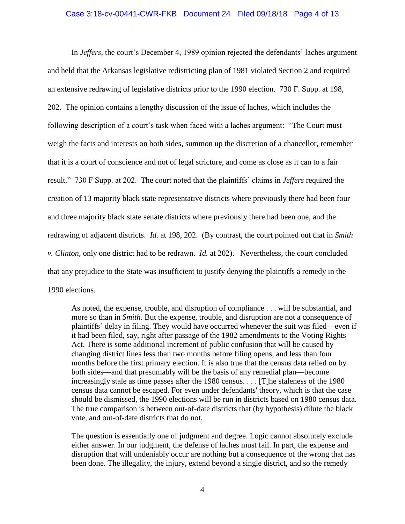## Case 3:18-cv-00441-CWR-FKB Document 24 Filed 09/18/18 Page 4 of 13

In *Jeffers,* the court's December 4, 1989 opinion rejected the defendants' laches argument and held that the Arkansas legislative redistricting plan of 1981 violated Section 2 and required an extensive redrawing of legislative districts prior to the 1990 election. 730 F. Supp. at 198, 202. The opinion contains a lengthy discussion of the issue of laches, which includes the following description of a court's task when faced with a laches argument: "The Court must weigh the facts and interests on both sides, summon up the discretion of a chancellor, remember that it is a court of conscience and not of legal stricture, and come as close as it can to a fair result." 730 F Supp. at 202. The court noted that the plaintiffs' claims in *Jeffers* required the creation of 13 majority black state representative districts where previously there had been four and three majority black state senate districts where previously there had been one, and the redrawing of adjacent districts. *Id.* at 198, 202. (By contrast, the court pointed out that in *Smith v. Clinton,* only one district had to be redrawn. *Id.* at 202). Nevertheless, the court concluded that any prejudice to the State was insufficient to justify denying the plaintiffs a remedy in the 1990 elections.

As noted, the expense, trouble, and disruption of compliance . . . will be substantial, and more so than in *Smith*. But the expense, trouble, and disruption are not a consequence of plaintiffs' delay in filing. They would have occurred whenever the suit was filed—even if it had been filed, say, right after passage of the 1982 amendments to the Voting Rights Act. There is some additional increment of public confusion that will be caused by changing district lines less than two months before filing opens, and less than four months before the first primary election. It is also true that the census data relied on by both sides—and that presumably will be the basis of any remedial plan—become increasingly stale as time passes after the 1980 census. . . . [T]he staleness of the 1980 census data cannot be escaped. For even under defendants' theory, which is that the case should be dismissed, the 1990 elections will be run in districts based on 1980 census data. The true comparison is between out-of-date districts that (by hypothesis) dilute the black vote, and out-of-date districts that do not.

The question is essentially one of judgment and degree. Logic cannot absolutely exclude either answer. In our judgment, the defense of laches must fail. In part, the expense and disruption that will undeniably occur are nothing but a consequence of the wrong that has been done. The illegality, the injury, extend beyond a single district, and so the remedy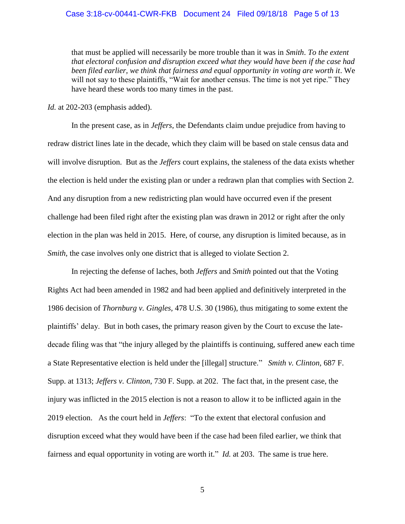#### Case 3:18-cv-00441-CWR-FKB Document 24 Filed 09/18/18 Page 5 of 13

that must be applied will necessarily be more trouble than it was in *Smith*. *To the extent that electoral confusion and disruption exceed what they would have been if the case had been filed earlier, we think that fairness and equal opportunity in voting are worth it*. We will not say to these plaintiffs, "Wait for another census. The time is not yet ripe." They have heard these words too many times in the past.

*Id.* at 202-203 (emphasis added).

In the present case, as in *Jeffers,* the Defendants claim undue prejudice from having to redraw district lines late in the decade, which they claim will be based on stale census data and will involve disruption. But as the *Jeffers* court explains, the staleness of the data exists whether the election is held under the existing plan or under a redrawn plan that complies with Section 2. And any disruption from a new redistricting plan would have occurred even if the present challenge had been filed right after the existing plan was drawn in 2012 or right after the only election in the plan was held in 2015. Here, of course, any disruption is limited because, as in *Smith,* the case involves only one district that is alleged to violate Section 2.

In rejecting the defense of laches, both *Jeffers* and *Smith* pointed out that the Voting Rights Act had been amended in 1982 and had been applied and definitively interpreted in the 1986 decision of *Thornburg v. Gingles,* 478 U.S. 30 (1986), thus mitigating to some extent the plaintiffs' delay. But in both cases, the primary reason given by the Court to excuse the latedecade filing was that "the injury alleged by the plaintiffs is continuing, suffered anew each time a State Representative election is held under the [illegal] structure." *Smith v. Clinton,* 687 F. Supp. at 1313; *Jeffers v. Clinton,* 730 F. Supp. at 202. The fact that, in the present case, the injury was inflicted in the 2015 election is not a reason to allow it to be inflicted again in the 2019 election. As the court held in *Jeffers*: "To the extent that electoral confusion and disruption exceed what they would have been if the case had been filed earlier, we think that fairness and equal opportunity in voting are worth it." *Id.* at 203. The same is true here.

5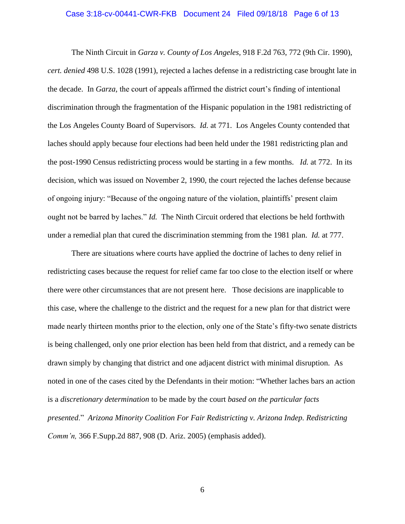#### Case 3:18-cv-00441-CWR-FKB Document 24 Filed 09/18/18 Page 6 of 13

The Ninth Circuit in *Garza v. County of Los Angeles,* 918 F.2d 763, 772 (9th Cir. 1990), *cert. denied* 498 U.S. 1028 (1991), rejected a laches defense in a redistricting case brought late in the decade. In *Garza,* the court of appeals affirmed the district court's finding of intentional discrimination through the fragmentation of the Hispanic population in the 1981 redistricting of the Los Angeles County Board of Supervisors. *Id.* at 771. Los Angeles County contended that laches should apply because four elections had been held under the 1981 redistricting plan and the post-1990 Census redistricting process would be starting in a few months. *Id.* at 772. In its decision, which was issued on November 2, 1990, the court rejected the laches defense because of ongoing injury: "Because of the ongoing nature of the violation, plaintiffs' present claim ought not be barred by laches." *Id.* The Ninth Circuit ordered that elections be held forthwith under a remedial plan that cured the discrimination stemming from the 1981 plan. *Id.* at 777.

There are situations where courts have applied the doctrine of laches to deny relief in redistricting cases because the request for relief came far too close to the election itself or where there were other circumstances that are not present here. Those decisions are inapplicable to this case, where the challenge to the district and the request for a new plan for that district were made nearly thirteen months prior to the election, only one of the State's fifty-two senate districts is being challenged, only one prior election has been held from that district, and a remedy can be drawn simply by changing that district and one adjacent district with minimal disruption. As noted in one of the cases cited by the Defendants in their motion: "Whether laches bars an action is a *discretionary determination* to be made by the court *based on the particular facts presented*." *Arizona Minority Coalition For Fair Redistricting v. Arizona Indep. Redistricting Comm'n,* 366 F.Supp.2d 887, 908 (D. Ariz. 2005) (emphasis added).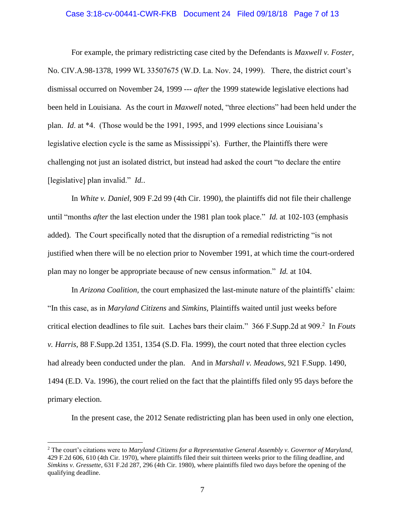#### Case 3:18-cv-00441-CWR-FKB Document 24 Filed 09/18/18 Page 7 of 13

For example, the primary redistricting case cited by the Defendants is *Maxwell v. Foster,*  No. CIV.A.98-1378, 1999 WL 33507675 (W.D. La. Nov. 24, 1999). There, the district court's dismissal occurred on November 24, 1999 --- *after* the 1999 statewide legislative elections had been held in Louisiana. As the court in *Maxwell* noted, "three elections" had been held under the plan. *Id*. at \*4. (Those would be the 1991, 1995, and 1999 elections since Louisiana's legislative election cycle is the same as Mississippi's). Further, the Plaintiffs there were challenging not just an isolated district, but instead had asked the court "to declare the entire [legislative] plan invalid." *Id.*.

In *White v. Daniel,* 909 F.2d 99 (4th Cir. 1990), the plaintiffs did not file their challenge until "months *after* the last election under the 1981 plan took place." *Id.* at 102-103 (emphasis added). The Court specifically noted that the disruption of a remedial redistricting "is not justified when there will be no election prior to November 1991, at which time the court-ordered plan may no longer be appropriate because of new census information." *Id.* at 104.

In *Arizona Coalition,* the court emphasized the last-minute nature of the plaintiffs' claim: "In this case, as in *Maryland Citizens* and *Simkins,* Plaintiffs waited until just weeks before critical election deadlines to file suit. Laches bars their claim." 366 F.Supp.2d at 909.<sup>2</sup> In *Fouts v. Harris,* 88 F.Supp.2d 1351, 1354 (S.D. Fla. 1999), the court noted that three election cycles had already been conducted under the plan. And in *Marshall v. Meadows,* 921 F.Supp. 1490, 1494 (E.D. Va. 1996), the court relied on the fact that the plaintiffs filed only 95 days before the primary election.

In the present case, the 2012 Senate redistricting plan has been used in only one election,

 $\overline{a}$ 

<sup>2</sup> The court's citations were to *Maryland Citizens for a Representative General Assembly v. Governor of Maryland,*  429 F.2d 606, 610 (4th Cir. 1970), where plaintiffs filed their suit thirteen weeks prior to the filing deadline, and *Simkins v. Gressette,* 631 F.2d 287, 296 (4th Cir. 1980), where plaintiffs filed two days before the opening of the qualifying deadline.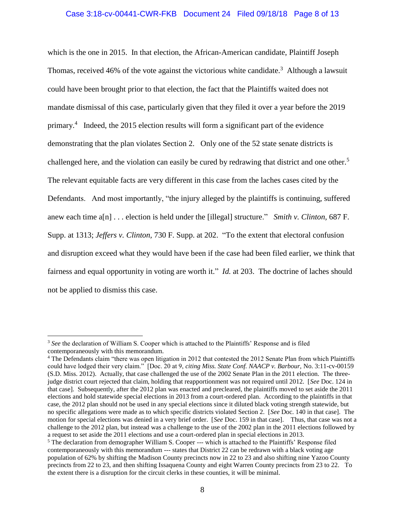## Case 3:18-cv-00441-CWR-FKB Document 24 Filed 09/18/18 Page 8 of 13

which is the one in 2015. In that election, the African-American candidate, Plaintiff Joseph Thomas, received 46% of the vote against the victorious white candidate.<sup>3</sup> Although a lawsuit could have been brought prior to that election, the fact that the Plaintiffs waited does not mandate dismissal of this case, particularly given that they filed it over a year before the 2019 primary.<sup>4</sup> Indeed, the 2015 election results will form a significant part of the evidence demonstrating that the plan violates Section 2. Only one of the 52 state senate districts is challenged here, and the violation can easily be cured by redrawing that district and one other.<sup>5</sup> The relevant equitable facts are very different in this case from the laches cases cited by the Defendants. And most importantly, "the injury alleged by the plaintiffs is continuing, suffered anew each time a[n] . . . election is held under the [illegal] structure." *Smith v. Clinton,* 687 F. Supp. at 1313; *Jeffers v. Clinton,* 730 F. Supp. at 202. "To the extent that electoral confusion and disruption exceed what they would have been if the case had been filed earlier, we think that fairness and equal opportunity in voting are worth it." *Id.* at 203. The doctrine of laches should not be applied to dismiss this case.

 $\overline{a}$ 

<sup>3</sup> *See* the declaration of William S. Cooper which is attached to the Plaintiffs' Response and is filed contemporaneously with this memorandum.

<sup>&</sup>lt;sup>4</sup> The Defendants claim "there was open litigation in 2012 that contested the 2012 Senate Plan from which Plaintiffs could have lodged their very claim." [Doc. 20 at 9, *citing Miss. State Conf. NAACP v. Barbour,* No. 3:11-cv-00159 (S.D. Miss. 2012). Actually, that case challenged the use of the 2002 Senate Plan in the 2011 election. The threejudge district court rejected that claim, holding that reapportionment was not required until 2012. [*See* Doc. 124 in that case]. Subsequently, after the 2012 plan was enacted and precleared, the plaintiffs moved to set aside the 2011 elections and hold statewide special elections in 2013 from a court-ordered plan. According to the plaintiffs in that case, the 2012 plan should not be used in any special elections since it diluted black voting strength statewide, but no specific allegations were made as to which specific districts violated Section 2. [*See* Doc. 140 in that case]. The motion for special elections was denied in a very brief order. [*See* Doc. 159 in that case]. Thus, that case was not a challenge to the 2012 plan, but instead was a challenge to the use of the 2002 plan in the 2011 elections followed by a request to set aside the 2011 elections and use a court-ordered plan in special elections in 2013.

<sup>&</sup>lt;sup>5</sup> The declaration from demographer William S. Cooper --- which is attached to the Plaintiffs' Response filed contemporaneously with this memorandum --- states that District 22 can be redrawn with a black voting age population of 62% by shifting the Madison County precincts now in 22 to 23 and also shifting nine Yazoo County precincts from 22 to 23, and then shifting Issaquena County and eight Warren County precincts from 23 to 22. To the extent there is a disruption for the circuit clerks in these counties, it will be minimal.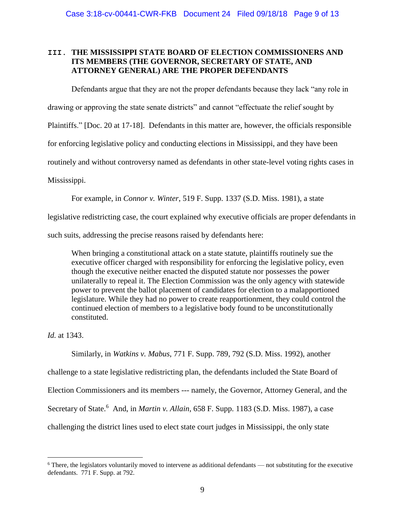# **III. THE MISSISSIPPI STATE BOARD OF ELECTION COMMISSIONERS AND ITS MEMBERS (THE GOVERNOR, SECRETARY OF STATE, AND ATTORNEY GENERAL) ARE THE PROPER DEFENDANTS**

Defendants argue that they are not the proper defendants because they lack "any role in

drawing or approving the state senate districts" and cannot "effectuate the relief sought by

Plaintiffs." [Doc. 20 at 17-18]. Defendants in this matter are, however, the officials responsible

for enforcing legislative policy and conducting elections in Mississippi, and they have been

routinely and without controversy named as defendants in other state-level voting rights cases in

Mississippi.

For example, in *Connor v. Winter*, 519 F. Supp. 1337 (S.D. Miss. 1981), a state

legislative redistricting case, the court explained why executive officials are proper defendants in

such suits, addressing the precise reasons raised by defendants here:

When bringing a constitutional attack on a state statute, plaintiffs routinely sue the executive officer charged with responsibility for enforcing the legislative policy, even though the executive neither enacted the disputed statute nor possesses the power unilaterally to repeal it. The Election Commission was the only agency with statewide power to prevent the ballot placement of candidates for election to a malapportioned legislature. While they had no power to create reapportionment, they could control the continued election of members to a legislative body found to be unconstitutionally constituted.

*Id.* at 1343.

 $\overline{a}$ 

Similarly, in *Watkins v. Mabus*, 771 F. Supp. 789, 792 (S.D. Miss. 1992), another

challenge to a state legislative redistricting plan, the defendants included the State Board of

Election Commissioners and its members --- namely, the Governor, Attorney General, and the

Secretary of State.<sup>6</sup> And, in *Martin v. Allain*, 658 F. Supp. 1183 (S.D. Miss. 1987), a case

challenging the district lines used to elect state court judges in Mississippi, the only state

 $6$  There, the legislators voluntarily moved to intervene as additional defendants — not substituting for the executive defendants. 771 F. Supp. at 792.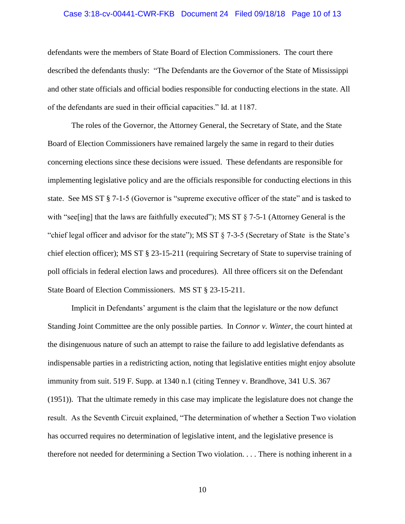#### Case 3:18-cv-00441-CWR-FKB Document 24 Filed 09/18/18 Page 10 of 13

defendants were the members of State Board of Election Commissioners. The court there described the defendants thusly: "The Defendants are the Governor of the State of Mississippi and other state officials and official bodies responsible for conducting elections in the state. All of the defendants are sued in their official capacities." Id. at 1187.

The roles of the Governor, the Attorney General, the Secretary of State, and the State Board of Election Commissioners have remained largely the same in regard to their duties concerning elections since these decisions were issued. These defendants are responsible for implementing legislative policy and are the officials responsible for conducting elections in this state. See MS ST § 7-1-5 (Governor is "supreme executive officer of the state" and is tasked to with "see[ing] that the laws are faithfully executed"); MS ST § 7-5-1 (Attorney General is the "chief legal officer and advisor for the state"); MS ST § 7-3-5 (Secretary of State is the State's chief election officer); MS ST § 23-15-211 (requiring Secretary of State to supervise training of poll officials in federal election laws and procedures). All three officers sit on the Defendant State Board of Election Commissioners. MS ST § 23-15-211.

Implicit in Defendants' argument is the claim that the legislature or the now defunct Standing Joint Committee are the only possible parties. In *Connor v. Winter*, the court hinted at the disingenuous nature of such an attempt to raise the failure to add legislative defendants as indispensable parties in a redistricting action, noting that legislative entities might enjoy absolute immunity from suit. 519 F. Supp. at 1340 n.1 (citing Tenney v. Brandhove, 341 U.S. 367 (1951)). That the ultimate remedy in this case may implicate the legislature does not change the result. As the Seventh Circuit explained, "The determination of whether a Section Two violation has occurred requires no determination of legislative intent, and the legislative presence is therefore not needed for determining a Section Two violation. . . . There is nothing inherent in a

10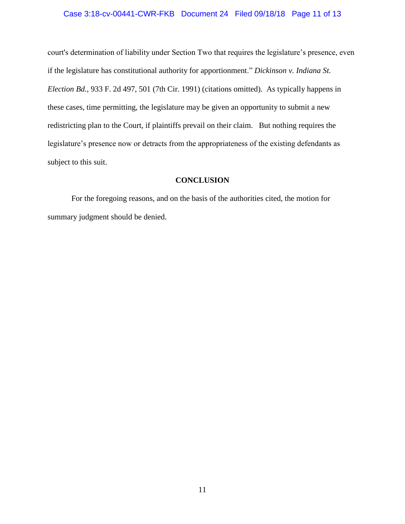## Case 3:18-cv-00441-CWR-FKB Document 24 Filed 09/18/18 Page 11 of 13

court's determination of liability under Section Two that requires the legislature's presence, even if the legislature has constitutional authority for apportionment." *Dickinson v. Indiana St. Election Bd.*, 933 F. 2d 497, 501 (7th Cir. 1991) (citations omitted). As typically happens in these cases, time permitting, the legislature may be given an opportunity to submit a new redistricting plan to the Court, if plaintiffs prevail on their claim. But nothing requires the legislature's presence now or detracts from the appropriateness of the existing defendants as subject to this suit.

## **CONCLUSION**

For the foregoing reasons, and on the basis of the authorities cited, the motion for summary judgment should be denied.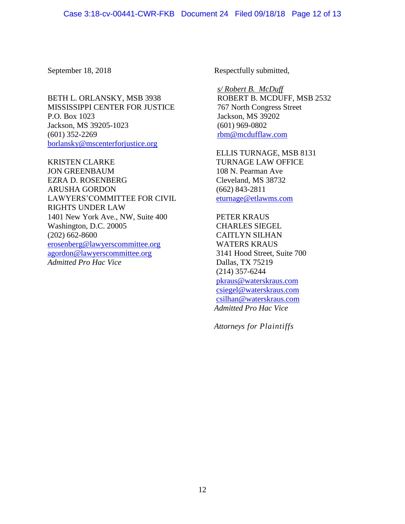BETH L. ORLANSKY, MSB 3938 MISSISSIPPI CENTER FOR JUSTICE P.O. Box 1023 Jackson, MS 39205-1023 (601) 352-2269 [borlansky@mscenterforjustice.org](mailto:borlansky@mscenterforjustice.org)

KRISTEN CLARKE JON GREENBAUM EZRA D. ROSENBERG ARUSHA GORDON LAWYERS'COMMITTEE FOR CIVIL RIGHTS UNDER LAW 1401 New York Ave., NW, Suite 400 Washington, D.C. 20005 (202) 662-8600 [erosenberg@lawyerscommittee.org](mailto:erosenberg@lawyerscommittee.org) [agordon@lawyerscommittee.org](mailto:agordon@lawyerscommittee.org) *Admitted Pro Hac Vice*

September 18, 2018 Respectfully submitted,

*s/ Robert B. McDuff* ROBERT B. MCDUFF, MSB 2532 767 North Congress Street Jackson, MS 39202 (601) 969-0802 [rbm@mcdufflaw.com](mailto:rbm@mcdufflaw.com)

ELLIS TURNAGE, MSB 8131 TURNAGE LAW OFFICE 108 N. Pearman Ave Cleveland, MS 38732 (662) 843-2811 [eturnage@etlawms.com](mailto:eturnage@etlawms.com)

PETER KRAUS CHARLES SIEGEL CAITLYN SILHAN WATERS KRAUS 3141 Hood Street, Suite 700 Dallas, TX 75219 (214) 357-6244 [pkraus@waterskraus.com](mailto:pkraus@waterskraus.com) [csiegel@waterskraus.com](mailto:csiegel@waterskraus.com) [csilhan@waterskraus.com](mailto:csilhan@waterskraus.com) *Admitted Pro Hac Vice*

*Attorneys for Plaintiffs*